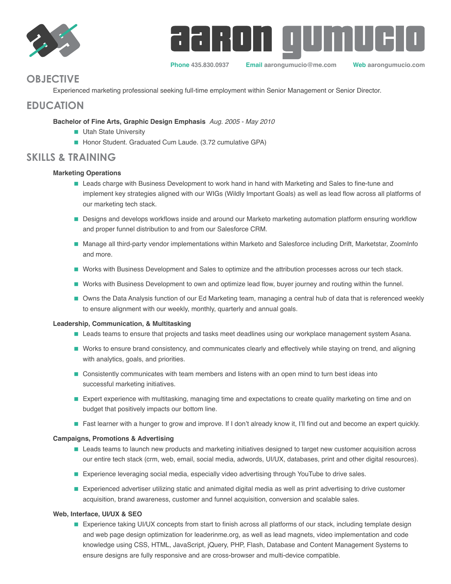



**Phone 435.830.0937 Email aarongumucio@me.com Web aarongumucio.com**

# **OBJECTIVE**

Experienced marketing professional seeking full-time employment within Senior Management or Senior Director.

## **EDUCATION**

 **Bachelor of Fine Arts, Graphic Design Emphasis** *Aug. 2005 - May 2010*

- **Utah State University**
- Honor Student. Graduated Cum Laude. (3.72 cumulative GPA)

## **SKILLS & TRAINING**

## **Marketing Operations**

- **Leads charge with Business Development to work hand in hand with Marketing and Sales to fine-tune and** implement key strategies aligned with our WIGs (Wildly Important Goals) as well as lead flow across all platforms of our marketing tech stack.
- Designs and develops workflows inside and around our Marketo marketing automation platform ensuring workflow and proper funnel distribution to and from our Salesforce CRM.
- Manage all third-party vendor implementations within Marketo and Salesforce including Drift, Marketstar, ZoomInfo and more.
- Works with Business Development and Sales to optimize and the attribution processes across our tech stack.
- Works with Business Development to own and optimize lead flow, buyer journey and routing within the funnel.
- Owns the Data Analysis function of our Ed Marketing team, managing a central hub of data that is referenced weekly to ensure alignment with our weekly, monthly, quarterly and annual goals.

## **Leadership, Communication, & Multitasking**

- Leads teams to ensure that projects and tasks meet deadlines using our workplace management system Asana.
- Works to ensure brand consistency, and communicates clearly and effectively while staying on trend, and aligning with analytics, goals, and priorities.
- **Consistently communicates with team members and listens with an open mind to turn best ideas into** successful marketing initiatives.
- **Expert experience with multitasking, managing time and expectations to create quality marketing on time and on** budget that positively impacts our bottom line.
- **Fast learner with a hunger to grow and improve. If I don't already know it, I'll find out and become an expert quickly.**

### **Campaigns, Promotions & Advertising**

- Leads teams to launch new products and marketing initiatives designed to target new customer acquisition across our entire tech stack (crm, web, email, social media, adwords, UI/UX, databases, print and other digital resources).
- **Experience leveraging social media, especially video advertising through YouTube to drive sales.**
- **Experienced advertiser utilizing static and animated digital media as well as print advertising to drive customer** acquisition, brand awareness, customer and funnel acquisition, conversion and scalable sales.

## **Web, Interface, UI/UX & SEO**

**Experience taking UI/UX concepts from start to finish across all platforms of our stack, including template design** and web page design optimization for leaderinme.org, as well as lead magnets, video implementation and code knowledge using CSS, HTML, JavaScript, jQuery, PHP, Flash, Database and Content Management Systems to ensure designs are fully responsive and are cross-browser and multi-device compatible.